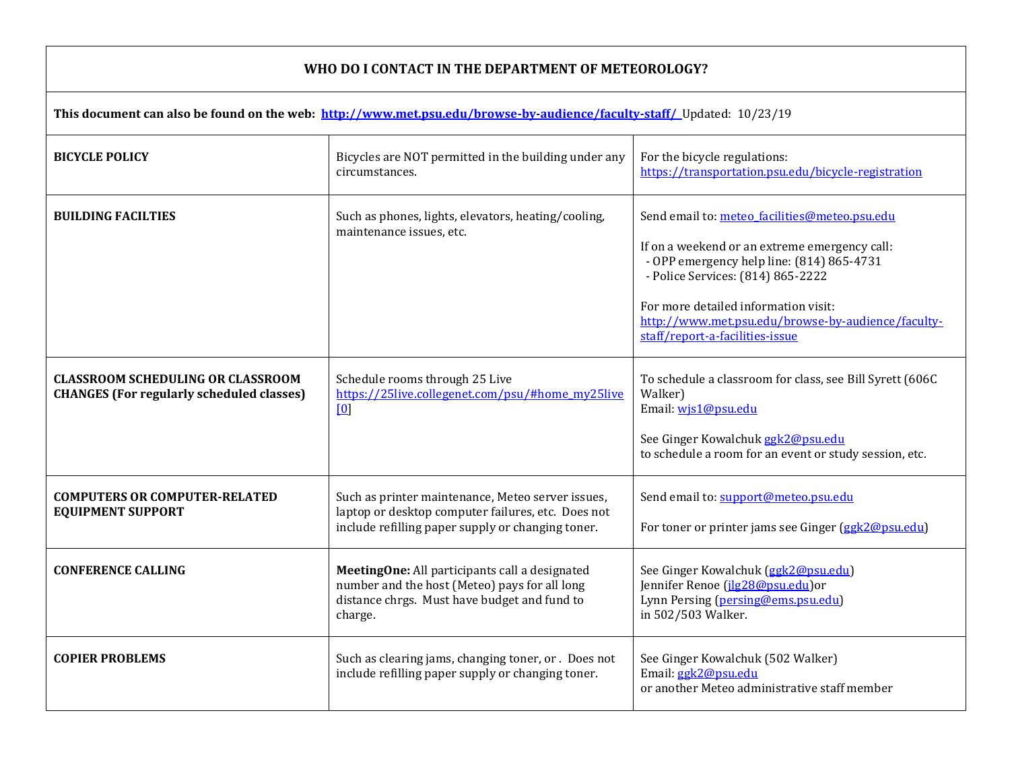## **WHO DO I CONTACT IN THE DEPARTMENT OF METEOROLOGY?**

| This document can also be found on the web: http://www.met.psu.edu/browse-by-audience/faculty-staff/ Updated: 10/23/19 |                                                                                                                                                              |                                                                                                                                                                                                                                                                                                                   |  |
|------------------------------------------------------------------------------------------------------------------------|--------------------------------------------------------------------------------------------------------------------------------------------------------------|-------------------------------------------------------------------------------------------------------------------------------------------------------------------------------------------------------------------------------------------------------------------------------------------------------------------|--|
| <b>BICYCLE POLICY</b>                                                                                                  | Bicycles are NOT permitted in the building under any<br>circumstances.                                                                                       | For the bicycle regulations:<br>https://transportation.psu.edu/bicycle-registration                                                                                                                                                                                                                               |  |
| <b>BUILDING FACILTIES</b>                                                                                              | Such as phones, lights, elevators, heating/cooling,<br>maintenance issues, etc.                                                                              | Send email to: meteo facilities@meteo.psu.edu<br>If on a weekend or an extreme emergency call:<br>- OPP emergency help line: (814) 865-4731<br>- Police Services: (814) 865-2222<br>For more detailed information visit:<br>http://www.met.psu.edu/browse-by-audience/faculty-<br>staff/report-a-facilities-issue |  |
| <b>CLASSROOM SCHEDULING OR CLASSROOM</b><br><b>CHANGES (For regularly scheduled classes)</b>                           | Schedule rooms through 25 Live<br>https://25live.collegenet.com/psu/#home_my25live<br>[0]                                                                    | To schedule a classroom for class, see Bill Syrett (606C<br>Walker)<br>Email: wis1@psu.edu<br>See Ginger Kowalchuk ggk2@psu.edu<br>to schedule a room for an event or study session, etc.                                                                                                                         |  |
| <b>COMPUTERS OR COMPUTER-RELATED</b><br><b>EQUIPMENT SUPPORT</b>                                                       | Such as printer maintenance, Meteo server issues,<br>laptop or desktop computer failures, etc. Does not<br>include refilling paper supply or changing toner. | Send email to: support@meteo.psu.edu<br>For toner or printer jams see Ginger (ggk2@psu.edu)                                                                                                                                                                                                                       |  |
| <b>CONFERENCE CALLING</b>                                                                                              | MeetingOne: All participants call a designated<br>number and the host (Meteo) pays for all long<br>distance chrgs. Must have budget and fund to<br>charge.   | See Ginger Kowalchuk (ggk2@psu.edu)<br>Jennifer Renoe (jlg28@psu.edu)or<br>Lynn Persing (persing@ems.psu.edu)<br>in 502/503 Walker.                                                                                                                                                                               |  |
| <b>COPIER PROBLEMS</b>                                                                                                 | Such as clearing jams, changing toner, or . Does not<br>include refilling paper supply or changing toner.                                                    | See Ginger Kowalchuk (502 Walker)<br>Email: ggk2@psu.edu<br>or another Meteo administrative staff member                                                                                                                                                                                                          |  |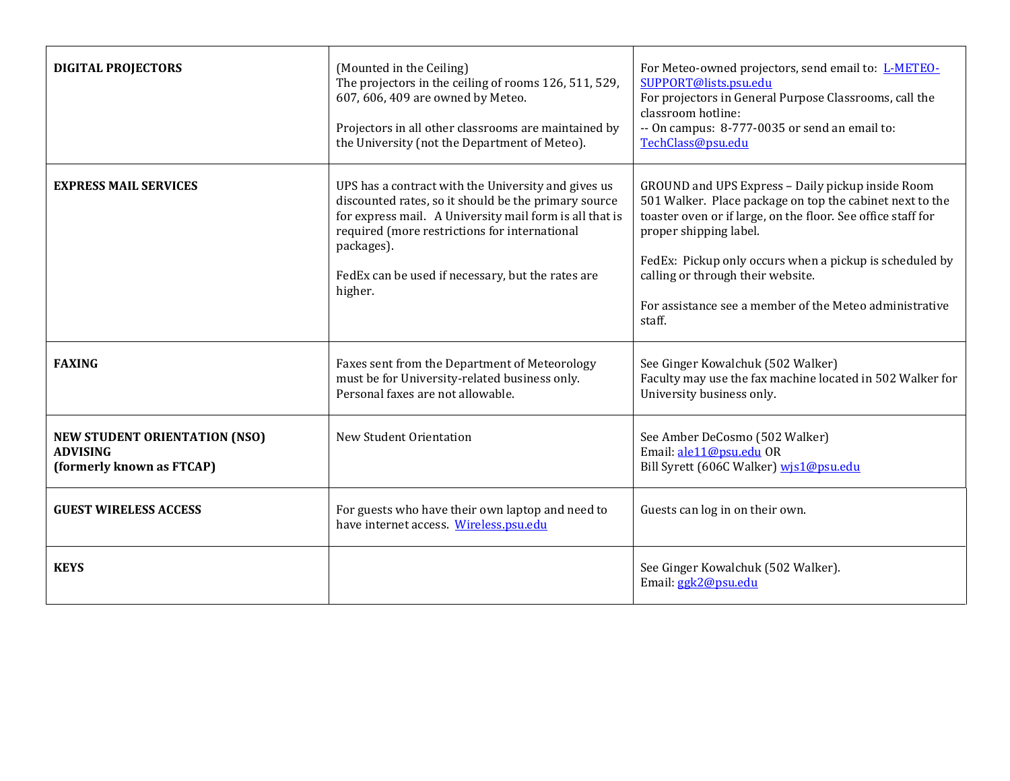| <b>DIGITAL PROJECTORS</b>                                                            | (Mounted in the Ceiling)<br>The projectors in the ceiling of rooms 126, 511, 529,<br>607, 606, 409 are owned by Meteo.<br>Projectors in all other classrooms are maintained by<br>the University (not the Department of Meteo).                                                                       | For Meteo-owned projectors, send email to: L-METEO-<br>SUPPORT@lists.psu.edu<br>For projectors in General Purpose Classrooms, call the<br>classroom hotline:<br>-- On campus: 8-777-0035 or send an email to:<br>TechClass@psu.edu                                                                                                                                           |
|--------------------------------------------------------------------------------------|-------------------------------------------------------------------------------------------------------------------------------------------------------------------------------------------------------------------------------------------------------------------------------------------------------|------------------------------------------------------------------------------------------------------------------------------------------------------------------------------------------------------------------------------------------------------------------------------------------------------------------------------------------------------------------------------|
| <b>EXPRESS MAIL SERVICES</b>                                                         | UPS has a contract with the University and gives us<br>discounted rates, so it should be the primary source<br>for express mail. A University mail form is all that is<br>required (more restrictions for international<br>packages).<br>FedEx can be used if necessary, but the rates are<br>higher. | GROUND and UPS Express - Daily pickup inside Room<br>501 Walker. Place package on top the cabinet next to the<br>toaster oven or if large, on the floor. See office staff for<br>proper shipping label.<br>FedEx: Pickup only occurs when a pickup is scheduled by<br>calling or through their website.<br>For assistance see a member of the Meteo administrative<br>staff. |
| <b>FAXING</b>                                                                        | Faxes sent from the Department of Meteorology<br>must be for University-related business only.<br>Personal faxes are not allowable.                                                                                                                                                                   | See Ginger Kowalchuk (502 Walker)<br>Faculty may use the fax machine located in 502 Walker for<br>University business only.                                                                                                                                                                                                                                                  |
| <b>NEW STUDENT ORIENTATION (NSO)</b><br><b>ADVISING</b><br>(formerly known as FTCAP) | New Student Orientation                                                                                                                                                                                                                                                                               | See Amber DeCosmo (502 Walker)<br>Email: ale11@psu.edu OR<br>Bill Syrett (606C Walker) wis1@psu.edu                                                                                                                                                                                                                                                                          |
| <b>GUEST WIRELESS ACCESS</b>                                                         | For guests who have their own laptop and need to<br>have internet access. Wireless.psu.edu                                                                                                                                                                                                            | Guests can log in on their own.                                                                                                                                                                                                                                                                                                                                              |
| <b>KEYS</b>                                                                          |                                                                                                                                                                                                                                                                                                       | See Ginger Kowalchuk (502 Walker).<br>Email: ggk2@psu.edu                                                                                                                                                                                                                                                                                                                    |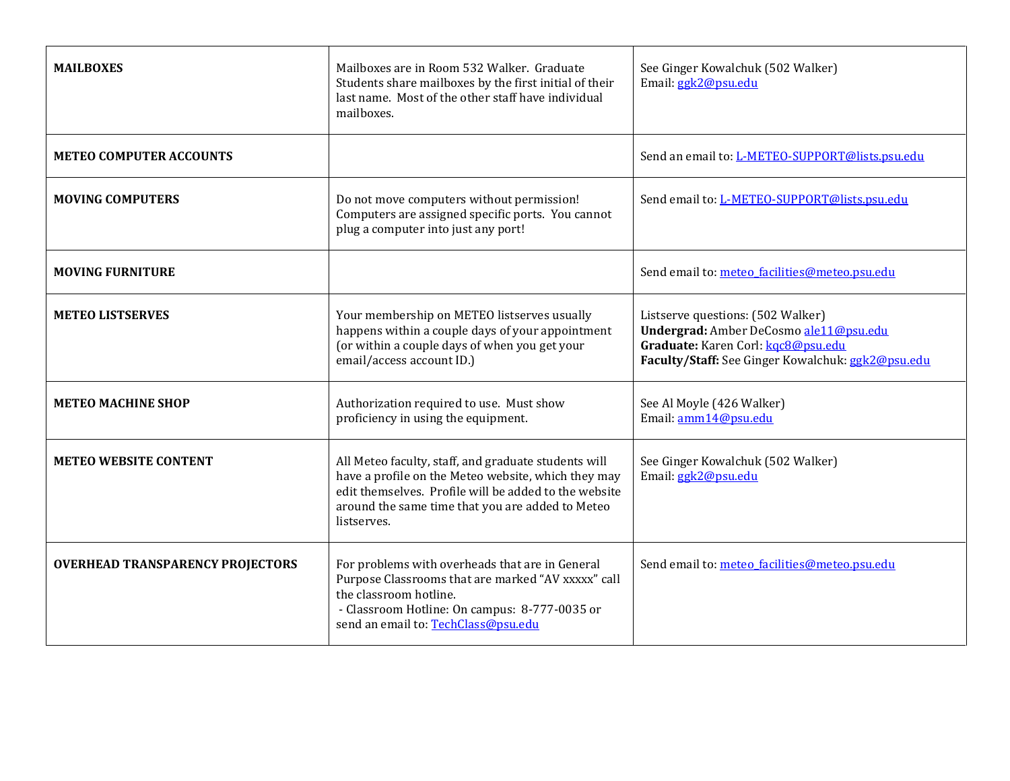| <b>MAILBOXES</b>                        | Mailboxes are in Room 532 Walker. Graduate<br>Students share mailboxes by the first initial of their<br>last name. Most of the other staff have individual<br>mailboxes.                                                                | See Ginger Kowalchuk (502 Walker)<br>Email: ggk2@psu.edu                                                                                                               |
|-----------------------------------------|-----------------------------------------------------------------------------------------------------------------------------------------------------------------------------------------------------------------------------------------|------------------------------------------------------------------------------------------------------------------------------------------------------------------------|
| <b>METEO COMPUTER ACCOUNTS</b>          |                                                                                                                                                                                                                                         | Send an email to: L-METEO-SUPPORT@lists.psu.edu                                                                                                                        |
| <b>MOVING COMPUTERS</b>                 | Do not move computers without permission!<br>Computers are assigned specific ports. You cannot<br>plug a computer into just any port!                                                                                                   | Send email to: L-METEO-SUPPORT@lists.psu.edu                                                                                                                           |
| <b>MOVING FURNITURE</b>                 |                                                                                                                                                                                                                                         | Send email to: meteo_facilities@meteo.psu.edu                                                                                                                          |
| <b>METEO LISTSERVES</b>                 | Your membership on METEO listserves usually<br>happens within a couple days of your appointment<br>(or within a couple days of when you get your<br>email/access account ID.)                                                           | Listserve questions: (502 Walker)<br>Undergrad: Amber DeCosmo ale11@psu.edu<br>Graduate: Karen Corl: kgc8@psu.edu<br>Faculty/Staff: See Ginger Kowalchuk: ggk2@psu.edu |
| <b>METEO MACHINE SHOP</b>               | Authorization required to use. Must show<br>proficiency in using the equipment.                                                                                                                                                         | See Al Moyle (426 Walker)<br>Email: amm14@psu.edu                                                                                                                      |
| <b>METEO WEBSITE CONTENT</b>            | All Meteo faculty, staff, and graduate students will<br>have a profile on the Meteo website, which they may<br>edit themselves. Profile will be added to the website<br>around the same time that you are added to Meteo<br>listserves. | See Ginger Kowalchuk (502 Walker)<br>Email: ggk2@psu.edu                                                                                                               |
| <b>OVERHEAD TRANSPARENCY PROJECTORS</b> | For problems with overheads that are in General<br>Purpose Classrooms that are marked "AV xxxxx" call<br>the classroom hotline.<br>- Classroom Hotline: On campus: 8-777-0035 or<br>send an email to: TechClass@psu.edu                 | Send email to: meteo_facilities@meteo.psu.edu                                                                                                                          |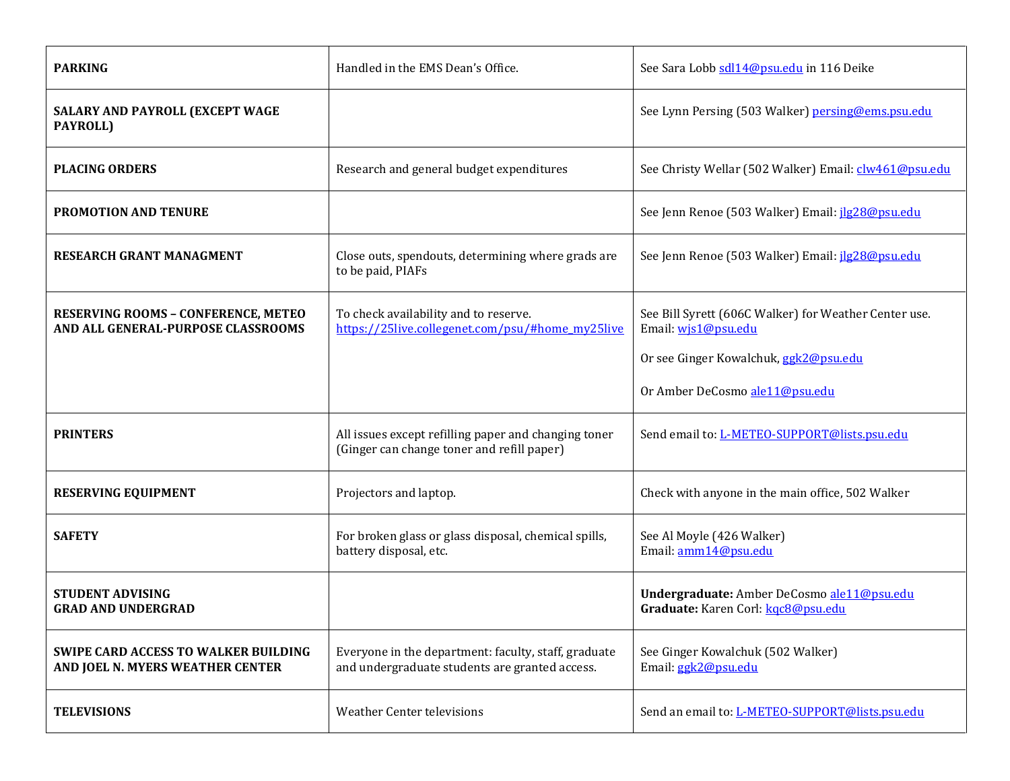| <b>PARKING</b>                                                                  | Handled in the EMS Dean's Office.                                                                      | See Sara Lobb sdl14@psu.edu in 116 Deike                                         |
|---------------------------------------------------------------------------------|--------------------------------------------------------------------------------------------------------|----------------------------------------------------------------------------------|
| SALARY AND PAYROLL (EXCEPT WAGE<br>PAYROLL)                                     |                                                                                                        | See Lynn Persing (503 Walker) persing@ems.psu.edu                                |
| <b>PLACING ORDERS</b>                                                           | Research and general budget expenditures                                                               | See Christy Wellar (502 Walker) Email: clw461@psu.edu                            |
| <b>PROMOTION AND TENURE</b>                                                     |                                                                                                        | See Jenn Renoe (503 Walker) Email: jlg28@psu.edu                                 |
| RESEARCH GRANT MANAGMENT                                                        | Close outs, spendouts, determining where grads are<br>to be paid, PIAFs                                | See Jenn Renoe (503 Walker) Email: jlg28@psu.edu                                 |
| RESERVING ROOMS - CONFERENCE, METEO<br>AND ALL GENERAL-PURPOSE CLASSROOMS       | To check availability and to reserve.<br>https://25live.collegenet.com/psu/#home_my25live              | See Bill Syrett (606C Walker) for Weather Center use.<br>Email: wjs1@psu.edu     |
|                                                                                 |                                                                                                        | Or see Ginger Kowalchuk, ggk2@psu.edu                                            |
|                                                                                 |                                                                                                        | Or Amber DeCosmo ale11@psu.edu                                                   |
| <b>PRINTERS</b>                                                                 | All issues except refilling paper and changing toner<br>(Ginger can change toner and refill paper)     | Send email to: L-METEO-SUPPORT@lists.psu.edu                                     |
| <b>RESERVING EQUIPMENT</b>                                                      | Projectors and laptop.                                                                                 | Check with anyone in the main office, 502 Walker                                 |
| <b>SAFETY</b>                                                                   | For broken glass or glass disposal, chemical spills,<br>battery disposal, etc.                         | See Al Moyle (426 Walker)<br>Email: amm14@psu.edu                                |
| <b>STUDENT ADVISING</b><br><b>GRAD AND UNDERGRAD</b>                            |                                                                                                        | Undergraduate: Amber DeCosmo ale11@psu.edu<br>Graduate: Karen Corl: kgc8@psu.edu |
| <b>SWIPE CARD ACCESS TO WALKER BUILDING</b><br>AND JOEL N. MYERS WEATHER CENTER | Everyone in the department: faculty, staff, graduate<br>and undergraduate students are granted access. | See Ginger Kowalchuk (502 Walker)<br>Email: ggk2@psu.edu                         |
| <b>TELEVISIONS</b>                                                              | <b>Weather Center televisions</b>                                                                      | Send an email to: L-METEO-SUPPORT@lists.psu.edu                                  |